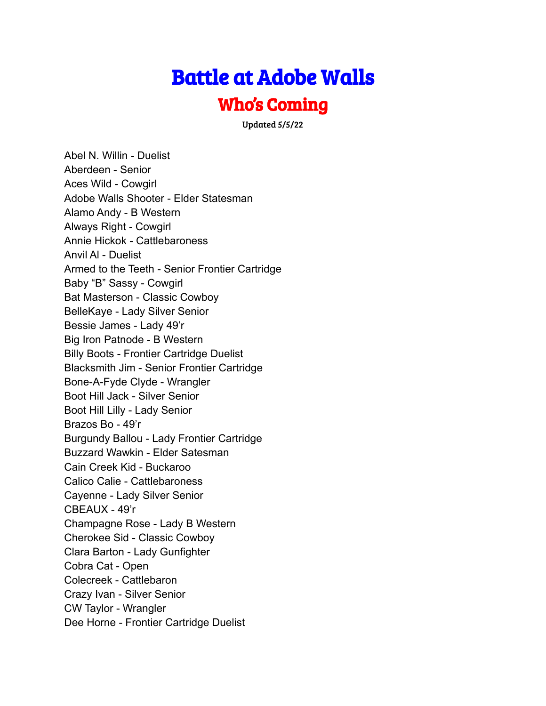## Battle at Adobe Walls

## Who's Coming

Updated 5/5/22

Abel N. Willin - Duelist Aberdeen - Senior Aces Wild - Cowgirl Adobe Walls Shooter - Elder Statesman Alamo Andy - B Western Always Right - Cowgirl Annie Hickok - Cattlebaroness Anvil Al - Duelist Armed to the Teeth - Senior Frontier Cartridge Baby "B" Sassy - Cowgirl Bat Masterson - Classic Cowboy BelleKaye - Lady Silver Senior Bessie James - Lady 49'r Big Iron Patnode - B Western Billy Boots - Frontier Cartridge Duelist Blacksmith Jim - Senior Frontier Cartridge Bone-A-Fyde Clyde - Wrangler Boot Hill Jack - Silver Senior Boot Hill Lilly - Lady Senior Brazos Bo - 49'r Burgundy Ballou - Lady Frontier Cartridge Buzzard Wawkin - Elder Satesman Cain Creek Kid - Buckaroo Calico Calie - Cattlebaroness Cayenne - Lady Silver Senior CBEAUX - 49'r Champagne Rose - Lady B Western Cherokee Sid - Classic Cowboy Clara Barton - Lady Gunfighter Cobra Cat - Open Colecreek - Cattlebaron Crazy Ivan - Silver Senior CW Taylor - Wrangler Dee Horne - Frontier Cartridge Duelist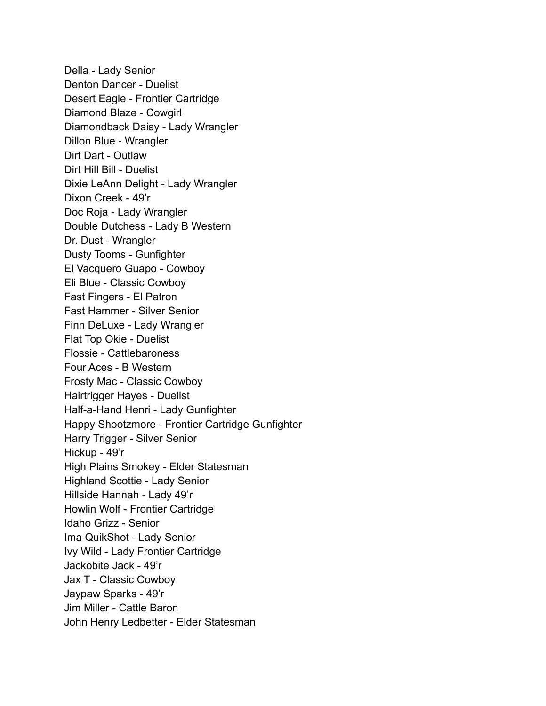Della - Lady Senior Denton Dancer - Duelist Desert Eagle - Frontier Cartridge Diamond Blaze - Cowgirl Diamondback Daisy - Lady Wrangler Dillon Blue - Wrangler Dirt Dart - Outlaw Dirt Hill Bill - Duelist Dixie LeAnn Delight - Lady Wrangler Dixon Creek - 49'r Doc Roja - Lady Wrangler Double Dutchess - Lady B Western Dr. Dust - Wrangler Dusty Tooms - Gunfighter El Vacquero Guapo - Cowboy Eli Blue - Classic Cowboy Fast Fingers - El Patron Fast Hammer - Silver Senior Finn DeLuxe - Lady Wrangler Flat Top Okie - Duelist Flossie - Cattlebaroness Four Aces - B Western Frosty Mac - Classic Cowboy Hairtrigger Hayes - Duelist Half-a-Hand Henri - Lady Gunfighter Happy Shootzmore - Frontier Cartridge Gunfighter Harry Trigger - Silver Senior Hickup - 49'r High Plains Smokey - Elder Statesman Highland Scottie - Lady Senior Hillside Hannah - Lady 49'r Howlin Wolf - Frontier Cartridge Idaho Grizz - Senior Ima QuikShot - Lady Senior Ivy Wild - Lady Frontier Cartridge Jackobite Jack - 49'r Jax T - Classic Cowboy Jaypaw Sparks - 49'r Jim Miller - Cattle Baron John Henry Ledbetter - Elder Statesman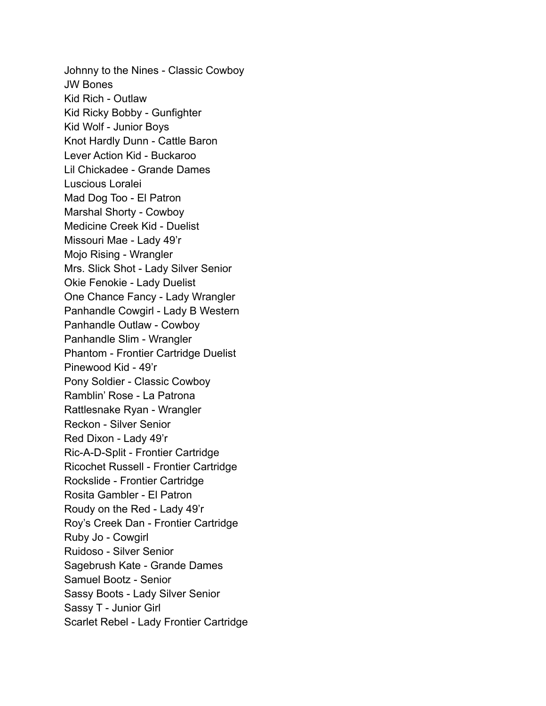Johnny to the Nines - Classic Cowboy JW Bones Kid Rich - Outlaw Kid Ricky Bobby - Gunfighter Kid Wolf - Junior Boys Knot Hardly Dunn - Cattle Baron Lever Action Kid - Buckaroo Lil Chickadee - Grande Dames Luscious Loralei Mad Dog Too - El Patron Marshal Shorty - Cowboy Medicine Creek Kid - Duelist Missouri Mae - Lady 49'r Mojo Rising - Wrangler Mrs. Slick Shot - Lady Silver Senior Okie Fenokie - Lady Duelist One Chance Fancy - Lady Wrangler Panhandle Cowgirl - Lady B Western Panhandle Outlaw - Cowboy Panhandle Slim - Wrangler Phantom - Frontier Cartridge Duelist Pinewood Kid - 49'r Pony Soldier - Classic Cowboy Ramblin' Rose - La Patrona Rattlesnake Ryan - Wrangler Reckon - Silver Senior Red Dixon - Lady 49'r Ric-A-D-Split - Frontier Cartridge Ricochet Russell - Frontier Cartridge Rockslide - Frontier Cartridge Rosita Gambler - El Patron Roudy on the Red - Lady 49'r Roy's Creek Dan - Frontier Cartridge Ruby Jo - Cowgirl Ruidoso - Silver Senior Sagebrush Kate - Grande Dames Samuel Bootz - Senior Sassy Boots - Lady Silver Senior Sassy T - Junior Girl Scarlet Rebel - Lady Frontier Cartridge